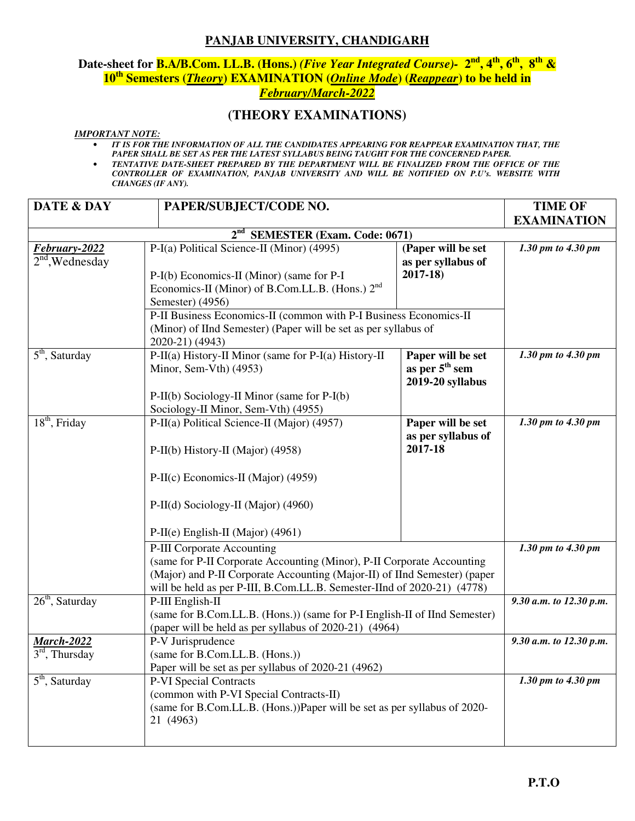### **PANJAB UNIVERSITY, CHANDIGARH**

# **Date-sheet for B.A/B.Com. LL.B. (Hons.)** *(Five Year Integrated Course)-* **2nd, 4th, 6th, 8th & 10th Semesters (***Theory***) EXAMINATION (***Online Mode***) (***Reappear***) to be held in**  *February/March-2022*

## **(THEORY EXAMINATIONS)**

#### *IMPORTANT NOTE:*

- *IT IS FOR THE INFORMATION OF ALL THE CANDIDATES APPEARING FOR REAPPEAR EXAMINATION THAT, THE*  PAPER SHALL BE SET AS PER THE LATEST SYLLABUS BEING TAUGHT FOR THE CONCERNED PAPER.
- *TENTATIVE DATE-SHEET PREPARED BY THE DEPARTMENT WILL BE FINALIZED FROM THE OFFICE OF THE CONTROLLER OF EXAMINATION, PANJAB UNIVERSITY AND WILL BE NOTIFIED ON P.U's. WEBSITE WITH CHANGES (IF ANY).*

| <b>DATE &amp; DAY</b>                                                                                                                                                                                                                                        | PAPER/SUBJECT/CODE NO.                                                                                                                                                     |                                                                     | <b>TIME OF</b>          |
|--------------------------------------------------------------------------------------------------------------------------------------------------------------------------------------------------------------------------------------------------------------|----------------------------------------------------------------------------------------------------------------------------------------------------------------------------|---------------------------------------------------------------------|-------------------------|
|                                                                                                                                                                                                                                                              |                                                                                                                                                                            |                                                                     | <b>EXAMINATION</b>      |
|                                                                                                                                                                                                                                                              | 2 <sup>nd</sup> SEMESTER (Exam. Code: 0671)                                                                                                                                |                                                                     |                         |
| February-2022<br>$2nd$ , Wednesday                                                                                                                                                                                                                           | P-I(a) Political Science-II (Minor) (4995)<br>P-I(b) Economics-II (Minor) (same for P-I<br>Economics-II (Minor) of B.Com.LL.B. (Hons.) 2 <sup>nd</sup><br>Semester) (4956) | (Paper will be set<br>as per syllabus of<br>$2017 - 18$             | 1.30 pm to 4.30 pm      |
|                                                                                                                                                                                                                                                              | P-II Business Economics-II (common with P-I Business Economics-II<br>(Minor) of IInd Semester) (Paper will be set as per syllabus of<br>2020-21) (4943)                    |                                                                     |                         |
| $\overline{5}^{\text{th}}$ , Saturday                                                                                                                                                                                                                        | P-II(a) History-II Minor (same for P-I(a) History-II<br>Minor, Sem-Vth) (4953)<br>P-II(b) Sociology-II Minor (same for P-I(b)                                              | Paper will be set<br>as per 5 <sup>th</sup> sem<br>2019-20 syllabus | 1.30 pm to 4.30 pm      |
|                                                                                                                                                                                                                                                              | Sociology-II Minor, Sem-Vth) (4955)                                                                                                                                        |                                                                     |                         |
| $18th$ , Friday                                                                                                                                                                                                                                              | P-II(a) Political Science-II (Major) (4957)<br>P-II(b) History-II (Major) (4958)                                                                                           | Paper will be set<br>as per syllabus of<br>2017-18                  | 1.30 pm to 4.30 pm      |
|                                                                                                                                                                                                                                                              | P-II(c) Economics-II (Major) (4959)                                                                                                                                        |                                                                     |                         |
|                                                                                                                                                                                                                                                              | P-II(d) Sociology-II (Major) (4960)<br>P-II(e) English-II (Major) (4961)                                                                                                   |                                                                     |                         |
| P-III Corporate Accounting<br>(same for P-II Corporate Accounting (Minor), P-II Corporate Accounting<br>(Major) and P-II Corporate Accounting (Major-II) of IInd Semester) (paper<br>will be held as per P-III, B.Com.LL.B. Semester-IInd of 2020-21) (4778) |                                                                                                                                                                            |                                                                     | 1.30 pm to 4.30 pm      |
| $26th$ , Saturday                                                                                                                                                                                                                                            | P-III English-II<br>(same for B.Com.LL.B. (Hons.)) (same for P-I English-II of IInd Semester)<br>(paper will be held as per syllabus of 2020-21) (4964)                    |                                                                     | 9.30 a.m. to 12.30 p.m. |
| <b>March-2022</b><br>$3rd$ , Thursday                                                                                                                                                                                                                        | P-V Jurisprudence<br>(same for B.Com.LL.B. (Hons.))<br>Paper will be set as per syllabus of 2020-21 (4962)                                                                 | 9.30 a.m. to 12.30 p.m.                                             |                         |
| $\overline{5}^{\text{th}}$ , Saturday                                                                                                                                                                                                                        | P-VI Special Contracts<br>(common with P-VI Special Contracts-II)<br>(same for B.Com.LL.B. (Hons.))Paper will be set as per syllabus of 2020-<br>21 (4963)                 |                                                                     | 1.30 pm to 4.30 pm      |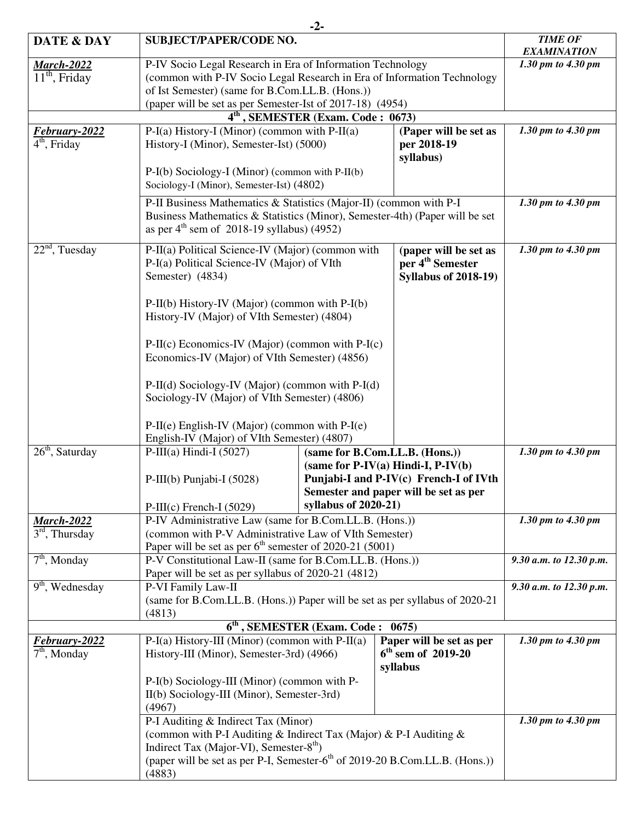|                                                                                                                                                |                                                                                                                                                                                                            | $-2-$                                         |                                                                                      |                                          |  |
|------------------------------------------------------------------------------------------------------------------------------------------------|------------------------------------------------------------------------------------------------------------------------------------------------------------------------------------------------------------|-----------------------------------------------|--------------------------------------------------------------------------------------|------------------------------------------|--|
| DATE & DAY                                                                                                                                     | <b>SUBJECT/PAPER/CODE NO.</b>                                                                                                                                                                              |                                               |                                                                                      | <b>TIME OF</b>                           |  |
| <b>March-2022</b>                                                                                                                              | P-IV Socio Legal Research in Era of Information Technology                                                                                                                                                 |                                               |                                                                                      | <b>EXAMINATION</b><br>1.30 pm to 4.30 pm |  |
| $11th$ , Friday                                                                                                                                | (common with P-IV Socio Legal Research in Era of Information Technology                                                                                                                                    |                                               |                                                                                      |                                          |  |
|                                                                                                                                                | of Ist Semester) (same for B.Com.LL.B. (Hons.))                                                                                                                                                            |                                               |                                                                                      |                                          |  |
|                                                                                                                                                | (paper will be set as per Semester-Ist of 2017-18) (4954)                                                                                                                                                  |                                               |                                                                                      |                                          |  |
|                                                                                                                                                |                                                                                                                                                                                                            | 4 <sup>th</sup> , SEMESTER (Exam. Code: 0673) |                                                                                      |                                          |  |
| February-2022<br>$4th$ , Friday                                                                                                                | $P-I(a)$ History-I (Minor) (common with $P-II(a)$ )<br>History-I (Minor), Semester-Ist) (5000)<br>per 2018-19                                                                                              |                                               | (Paper will be set as                                                                | 1.30 pm to 4.30 pm                       |  |
|                                                                                                                                                | $P-I(b)$ Sociology-I (Minor) (common with $P-II(b)$<br>Sociology-I (Minor), Semester-Ist) (4802)                                                                                                           |                                               | syllabus)                                                                            |                                          |  |
|                                                                                                                                                |                                                                                                                                                                                                            |                                               |                                                                                      | 1.30 pm to 4.30 pm                       |  |
|                                                                                                                                                | P-II Business Mathematics & Statistics (Major-II) (common with P-I<br>Business Mathematics & Statistics (Minor), Semester-4th) (Paper will be set<br>as per $4th$ sem of 2018-19 syllabus) (4952)          |                                               |                                                                                      |                                          |  |
| $22nd$ , Tuesday                                                                                                                               | P-II(a) Political Science-IV (Major) (common with<br>P-I(a) Political Science-IV (Major) of VIth<br>Semester) (4834)                                                                                       |                                               | (paper will be set as<br>per 4 <sup>th</sup> Semester<br><b>Syllabus of 2018-19)</b> | 1.30 pm to 4.30 pm                       |  |
|                                                                                                                                                | $P-II(b) History-IV (Major) (common with P-I(b))$<br>History-IV (Major) of VIth Semester) (4804)                                                                                                           |                                               |                                                                                      |                                          |  |
|                                                                                                                                                | $P-II(c)$ Economics-IV (Major) (common with $P-I(c)$<br>Economics-IV (Major) of VIth Semester) (4856)                                                                                                      |                                               |                                                                                      |                                          |  |
|                                                                                                                                                | $P-II(d)$ Sociology-IV (Major) (common with $P-I(d)$<br>Sociology-IV (Major) of VIth Semester) (4806)<br>$P-II(e)$ English-IV (Major) (common with $P-I(e)$<br>English-IV (Major) of VIth Semester) (4807) |                                               |                                                                                      |                                          |  |
|                                                                                                                                                |                                                                                                                                                                                                            |                                               |                                                                                      |                                          |  |
| $26th$ , Saturday                                                                                                                              | P-III(a) Hindi-I $(5027)$                                                                                                                                                                                  |                                               | (same for B.Com.LL.B. (Hons.))                                                       | 1.30 pm to 4.30 pm                       |  |
|                                                                                                                                                |                                                                                                                                                                                                            |                                               | (same for $P-IV(a)$ Hindi-I, $P-IV(b)$                                               |                                          |  |
|                                                                                                                                                | P-III(b) Punjabi-I (5028)                                                                                                                                                                                  |                                               | Punjabi-I and P-IV(c) French-I of IVth                                               |                                          |  |
|                                                                                                                                                |                                                                                                                                                                                                            | syllabus of $2020-21$ )                       | Semester and paper will be set as per                                                |                                          |  |
| <b>March-2022</b>                                                                                                                              | $P-III(c)$ French-I (5029)<br>P-IV Administrative Law (same for B.Com.LL.B. (Hons.))                                                                                                                       |                                               | 1.30 pm to 4.30 pm                                                                   |                                          |  |
| $3rd$ , Thursday                                                                                                                               | (common with P-V Administrative Law of VIth Semester)                                                                                                                                                      |                                               |                                                                                      |                                          |  |
|                                                                                                                                                | Paper will be set as per $6th$ semester of 2020-21 (5001)                                                                                                                                                  |                                               |                                                                                      |                                          |  |
| $7th$ , Monday                                                                                                                                 | P-V Constitutional Law-II (same for B.Com.LL.B. (Hons.))                                                                                                                                                   |                                               |                                                                                      | 9.30 a.m. to 12.30 p.m.                  |  |
|                                                                                                                                                | Paper will be set as per syllabus of 2020-21 (4812)                                                                                                                                                        |                                               |                                                                                      |                                          |  |
|                                                                                                                                                | $9th$ , Wednesday<br>P-VI Family Law-II<br>(same for B.Com.LL.B. (Hons.)) Paper will be set as per syllabus of 2020-21<br>(4813)                                                                           |                                               |                                                                                      | 9.30 a.m. to 12.30 p.m.                  |  |
|                                                                                                                                                |                                                                                                                                                                                                            |                                               |                                                                                      |                                          |  |
| $6th$ , SEMESTER (Exam. Code : 0675)                                                                                                           |                                                                                                                                                                                                            |                                               |                                                                                      |                                          |  |
| February-2022                                                                                                                                  | $P-I(a)$ History-III (Minor) (common with $P-II(a)$ )                                                                                                                                                      |                                               | Paper will be set as per                                                             | 1.30 pm to 4.30 pm                       |  |
| $\overline{7}^{\text{th}}$ , Monday                                                                                                            | $6th$ sem of 2019-20<br>History-III (Minor), Semester-3rd) (4966)<br>syllabus                                                                                                                              |                                               |                                                                                      |                                          |  |
|                                                                                                                                                | P-I(b) Sociology-III (Minor) (common with P-<br>II(b) Sociology-III (Minor), Semester-3rd)<br>(4967)                                                                                                       |                                               |                                                                                      |                                          |  |
|                                                                                                                                                | P-I Auditing & Indirect Tax (Minor)<br>(common with P-I Auditing & Indirect Tax (Major) & P-I Auditing &                                                                                                   |                                               |                                                                                      | 1.30 pm to 4.30 pm                       |  |
| Indirect Tax (Major-VI), Semester-8 <sup>th</sup> )<br>(paper will be set as per P-I, Semester-6 <sup>th</sup> of 2019-20 B.Com.LL.B. (Hons.)) |                                                                                                                                                                                                            |                                               |                                                                                      |                                          |  |
| (4883)                                                                                                                                         |                                                                                                                                                                                                            |                                               |                                                                                      |                                          |  |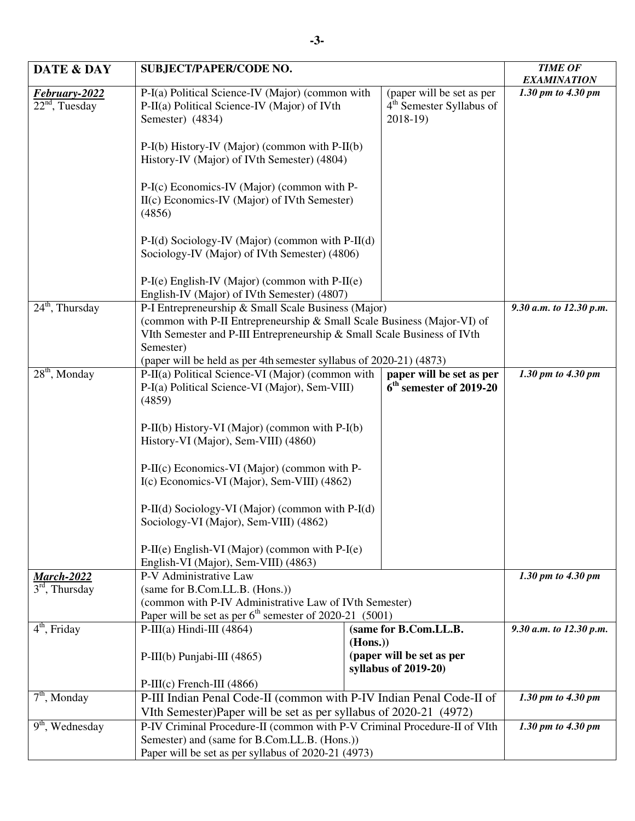| DATE & DAY                        | <b>SUBJECT/PAPER/CODE NO.</b>                                                                                                                                                                                                                                                                                                                                                     |         |                                                                                | <b>TIME OF</b>          |
|-----------------------------------|-----------------------------------------------------------------------------------------------------------------------------------------------------------------------------------------------------------------------------------------------------------------------------------------------------------------------------------------------------------------------------------|---------|--------------------------------------------------------------------------------|-------------------------|
|                                   |                                                                                                                                                                                                                                                                                                                                                                                   |         |                                                                                | <b>EXAMINATION</b>      |
| February-2022<br>$22nd$ , Tuesday | P-I(a) Political Science-IV (Major) (common with<br>P-II(a) Political Science-IV (Major) of IVth<br>Semester) (4834)                                                                                                                                                                                                                                                              |         | (paper will be set as per<br>4 <sup>th</sup> Semester Syllabus of<br>$2018-19$ | 1.30 pm to 4.30 pm      |
|                                   | $P-I(b)$ History-IV (Major) (common with $P-I(I(b))$<br>History-IV (Major) of IVth Semester) (4804)                                                                                                                                                                                                                                                                               |         |                                                                                |                         |
|                                   | P-I(c) Economics-IV (Major) (common with P-<br>II(c) Economics-IV (Major) of IVth Semester)<br>(4856)                                                                                                                                                                                                                                                                             |         |                                                                                |                         |
|                                   | $P-I(d)$ Sociology-IV (Major) (common with $P-I(d)$ )<br>Sociology-IV (Major) of IVth Semester) (4806)                                                                                                                                                                                                                                                                            |         |                                                                                |                         |
|                                   | $P-I(e)$ English-IV (Major) (common with $P-II(e)$<br>English-IV (Major) of IVth Semester) (4807)                                                                                                                                                                                                                                                                                 |         |                                                                                |                         |
| $24th$ , Thursday                 | P-I Entrepreneurship & Small Scale Business (Major)                                                                                                                                                                                                                                                                                                                               |         |                                                                                | 9.30 a.m. to 12.30 p.m. |
|                                   | (common with P-II Entrepreneurship & Small Scale Business (Major-VI) of                                                                                                                                                                                                                                                                                                           |         |                                                                                |                         |
|                                   | VIth Semester and P-III Entrepreneurship & Small Scale Business of IVth<br>Semester)<br>(paper will be held as per 4th semester syllabus of 2020-21) (4873)                                                                                                                                                                                                                       |         |                                                                                |                         |
|                                   |                                                                                                                                                                                                                                                                                                                                                                                   |         |                                                                                |                         |
| $28th$ , Monday                   | P-II(a) Political Science-VI (Major) (common with<br>paper will be set as per                                                                                                                                                                                                                                                                                                     |         | 1.30 pm to 4.30 pm                                                             |                         |
|                                   | $6th$ semester of 2019-20<br>P-I(a) Political Science-VI (Major), Sem-VIII)<br>(4859)                                                                                                                                                                                                                                                                                             |         |                                                                                |                         |
|                                   | P-II(b) History-VI (Major) (common with P-I(b)<br>History-VI (Major), Sem-VIII) (4860)<br>P-II(c) Economics-VI (Major) (common with P-<br>I(c) Economics-VI (Major), Sem-VIII) (4862)<br>P-II(d) Sociology-VI (Major) (common with P-I(d)<br>Sociology-VI (Major), Sem-VIII) (4862)<br>$P-II(e)$ English-VI (Major) (common with $P-I(e)$<br>English-VI (Major), Sem-VIII) (4863) |         |                                                                                |                         |
|                                   |                                                                                                                                                                                                                                                                                                                                                                                   |         |                                                                                |                         |
|                                   |                                                                                                                                                                                                                                                                                                                                                                                   |         |                                                                                |                         |
|                                   |                                                                                                                                                                                                                                                                                                                                                                                   |         |                                                                                |                         |
|                                   |                                                                                                                                                                                                                                                                                                                                                                                   |         |                                                                                |                         |
|                                   |                                                                                                                                                                                                                                                                                                                                                                                   |         |                                                                                |                         |
|                                   |                                                                                                                                                                                                                                                                                                                                                                                   |         |                                                                                |                         |
| <b>March-2022</b>                 | P-V Administrative Law<br>(same for B.Com.LL.B. (Hons.))<br>(common with P-IV Administrative Law of IVth Semester)                                                                                                                                                                                                                                                                |         | 1.30 pm to 4.30 pm                                                             |                         |
| $3rd$ , Thursday                  |                                                                                                                                                                                                                                                                                                                                                                                   |         |                                                                                |                         |
|                                   |                                                                                                                                                                                                                                                                                                                                                                                   |         |                                                                                |                         |
| $4th$ , Friday                    | Paper will be set as per $6th$ semester of 2020-21 (5001)<br>$P-III(a)$ Hindi-III (4864)<br>(same for B.Com.LL.B.                                                                                                                                                                                                                                                                 |         | 9.30 a.m. to 12.30 p.m.                                                        |                         |
|                                   |                                                                                                                                                                                                                                                                                                                                                                                   | (Hons.) |                                                                                |                         |
|                                   | P-III(b) Punjabi-III $(4865)$                                                                                                                                                                                                                                                                                                                                                     |         | (paper will be set as per<br>syllabus of $2019-20$ )                           |                         |
|                                   | $P-III(c)$ French-III (4866)                                                                                                                                                                                                                                                                                                                                                      |         |                                                                                |                         |
| $7th$ , Monday                    | P-III Indian Penal Code-II (common with P-IV Indian Penal Code-II of<br>VIth Semester)Paper will be set as per syllabus of 2020-21 (4972)                                                                                                                                                                                                                                         |         | 1.30 pm to 4.30 pm                                                             |                         |
|                                   |                                                                                                                                                                                                                                                                                                                                                                                   |         |                                                                                |                         |
| $9th$ , Wednesday                 | P-IV Criminal Procedure-II (common with P-V Criminal Procedure-II of VIth<br>Semester) and (same for B.Com.LL.B. (Hons.))<br>Paper will be set as per syllabus of 2020-21 (4973)                                                                                                                                                                                                  |         | 1.30 pm to 4.30 pm                                                             |                         |
|                                   |                                                                                                                                                                                                                                                                                                                                                                                   |         |                                                                                |                         |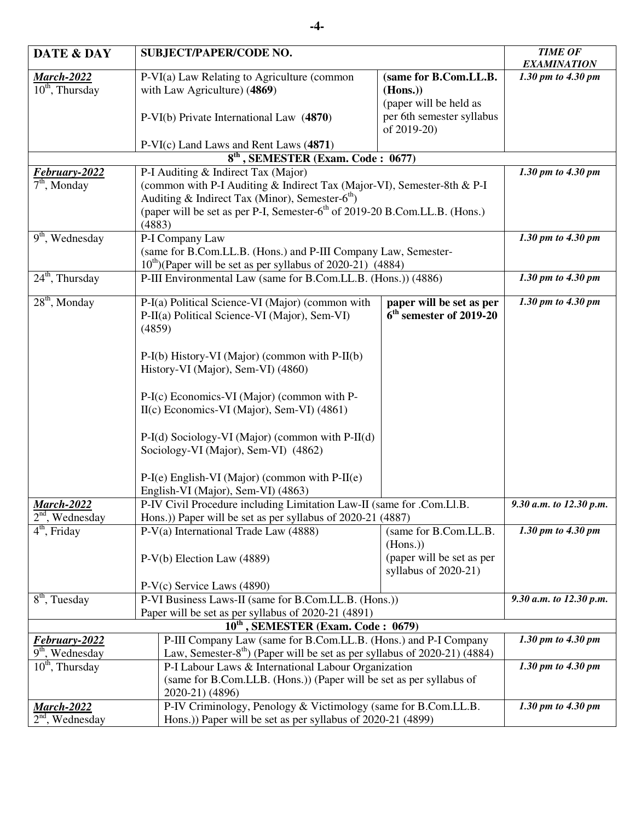| <b>DATE &amp; DAY</b>                                                            |                                                                                       | <b>SUBJECT/PAPER/CODE NO.</b>                                                          | <b>TIME OF</b>            |                                 |
|----------------------------------------------------------------------------------|---------------------------------------------------------------------------------------|----------------------------------------------------------------------------------------|---------------------------|---------------------------------|
|                                                                                  |                                                                                       |                                                                                        | <b>EXAMINATION</b>        |                                 |
| <b>March-2022</b>                                                                |                                                                                       | P-VI(a) Law Relating to Agriculture (common                                            | (same for B.Com.LL.B.     | 1.30 pm to 4.30 pm              |
| $10th$ , Thursday                                                                |                                                                                       | with Law Agriculture) (4869)                                                           | (Hons.)                   |                                 |
|                                                                                  |                                                                                       |                                                                                        | (paper will be held as    |                                 |
|                                                                                  |                                                                                       | P-VI(b) Private International Law (4870)                                               | per 6th semester syllabus |                                 |
|                                                                                  |                                                                                       |                                                                                        | of 2019-20)               |                                 |
|                                                                                  |                                                                                       | P-VI(c) Land Laws and Rent Laws (4871)                                                 |                           |                                 |
|                                                                                  |                                                                                       | $8th$ , SEMESTER (Exam. Code: 0677)                                                    |                           |                                 |
| February-2022                                                                    |                                                                                       | P-I Auditing & Indirect Tax (Major)                                                    | 1.30 pm to 4.30 pm        |                                 |
| $7th$ , Monday                                                                   |                                                                                       | (common with P-I Auditing & Indirect Tax (Major-VI), Semester-8th & P-I                |                           |                                 |
|                                                                                  |                                                                                       | Auditing & Indirect Tax (Minor), Semester- $6th$ )                                     |                           |                                 |
|                                                                                  |                                                                                       | (paper will be set as per P-I, Semester-6 <sup>th</sup> of 2019-20 B.Com.LL.B. (Hons.) |                           |                                 |
|                                                                                  | (4883)                                                                                |                                                                                        |                           |                                 |
| $9th$ , Wednesday                                                                |                                                                                       | P-I Company Law                                                                        |                           | 1.30 pm to 4.30 pm              |
|                                                                                  |                                                                                       | (same for B.Com.LL.B. (Hons.) and P-III Company Law, Semester-                         |                           |                                 |
|                                                                                  |                                                                                       | $10^{th}$ )(Paper will be set as per syllabus of 2020-21) (4884)                       |                           |                                 |
| $24th$ , Thursday                                                                |                                                                                       | P-III Environmental Law (same for B.Com.LL.B. (Hons.)) (4886)                          |                           | 1.30 pm to 4.30 pm              |
|                                                                                  |                                                                                       |                                                                                        |                           |                                 |
| $28th$ , Monday                                                                  |                                                                                       | P-I(a) Political Science-VI (Major) (common with                                       | paper will be set as per  | 1.30 pm to 4.30 pm              |
|                                                                                  |                                                                                       | P-II(a) Political Science-VI (Major), Sem-VI)                                          | $6th$ semester of 2019-20 |                                 |
|                                                                                  | (4859)                                                                                |                                                                                        |                           |                                 |
|                                                                                  |                                                                                       |                                                                                        |                           |                                 |
|                                                                                  |                                                                                       | P-I(b) History-VI (Major) (common with P-II(b)                                         |                           |                                 |
|                                                                                  |                                                                                       | History-VI (Major), Sem-VI) (4860)                                                     |                           |                                 |
|                                                                                  |                                                                                       |                                                                                        |                           |                                 |
|                                                                                  |                                                                                       | P-I(c) Economics-VI (Major) (common with P-                                            |                           |                                 |
|                                                                                  |                                                                                       | II(c) Economics-VI (Major), Sem-VI) (4861)                                             |                           |                                 |
|                                                                                  |                                                                                       |                                                                                        |                           |                                 |
|                                                                                  |                                                                                       | P-I(d) Sociology-VI (Major) (common with P-II(d)                                       |                           |                                 |
|                                                                                  |                                                                                       | Sociology-VI (Major), Sem-VI) (4862)                                                   |                           |                                 |
|                                                                                  |                                                                                       |                                                                                        |                           |                                 |
|                                                                                  |                                                                                       | $P-I(e)$ English-VI (Major) (common with $P-II(e)$                                     |                           |                                 |
|                                                                                  |                                                                                       | English-VI (Major), Sem-VI) (4863)                                                     |                           |                                 |
| <b>March-2022</b>                                                                |                                                                                       | P-IV Civil Procedure including Limitation Law-II (same for .Com.Ll.B.                  | 9.30 a.m. to 12.30 p.m.   |                                 |
| $2nd$ , Wednesday                                                                |                                                                                       | Hons.)) Paper will be set as per syllabus of 2020-21 (4887)                            |                           |                                 |
| $\overline{4^{th}}$ , Friday                                                     |                                                                                       | $P-V(a)$ International Trade Law (4888)                                                | (same for B.Com.LL.B.     | $\overline{1.30}$ pm to 4.30 pm |
|                                                                                  |                                                                                       |                                                                                        | (Hons.)                   |                                 |
|                                                                                  |                                                                                       | P-V(b) Election Law (4889)                                                             | (paper will be set as per |                                 |
|                                                                                  |                                                                                       |                                                                                        | syllabus of $2020-21$ )   |                                 |
|                                                                                  |                                                                                       | $P-V(c)$ Service Laws (4890)                                                           |                           |                                 |
| $8th$ , Tuesday                                                                  |                                                                                       | P-VI Business Laws-II (same for B.Com.LL.B. (Hons.))                                   |                           | 9.30 a.m. to 12.30 p.m.         |
|                                                                                  |                                                                                       | Paper will be set as per syllabus of 2020-21 (4891)                                    |                           |                                 |
|                                                                                  |                                                                                       | $10th$ , SEMESTER (Exam. Code : 0679)                                                  |                           |                                 |
| P-III Company Law (same for B.Com.LL.B. (Hons.) and P-I Company<br>February-2022 |                                                                                       |                                                                                        | 1.30 pm to 4.30 pm        |                                 |
| $\overline{9^{th}}$ , Wednesday                                                  | Law, Semester-8 <sup>th</sup> ) (Paper will be set as per syllabus of 2020-21) (4884) |                                                                                        |                           |                                 |
| $10th$ , Thursday                                                                |                                                                                       | P-I Labour Laws & International Labour Organization                                    |                           | 1.30 pm to 4.30 pm              |
|                                                                                  |                                                                                       | (same for B.Com.LLB. (Hons.)) (Paper will be set as per syllabus of                    |                           |                                 |
|                                                                                  |                                                                                       | 2020-21) (4896)                                                                        |                           |                                 |
| <u> March-2022</u>                                                               |                                                                                       | P-IV Criminology, Penology & Victimology (same for B.Com.LL.B.                         |                           | 1.30 pm to 4.30 pm              |
| $2nd$ , Wednesday                                                                |                                                                                       | Hons.)) Paper will be set as per syllabus of 2020-21 (4899)                            |                           |                                 |
|                                                                                  |                                                                                       |                                                                                        |                           |                                 |